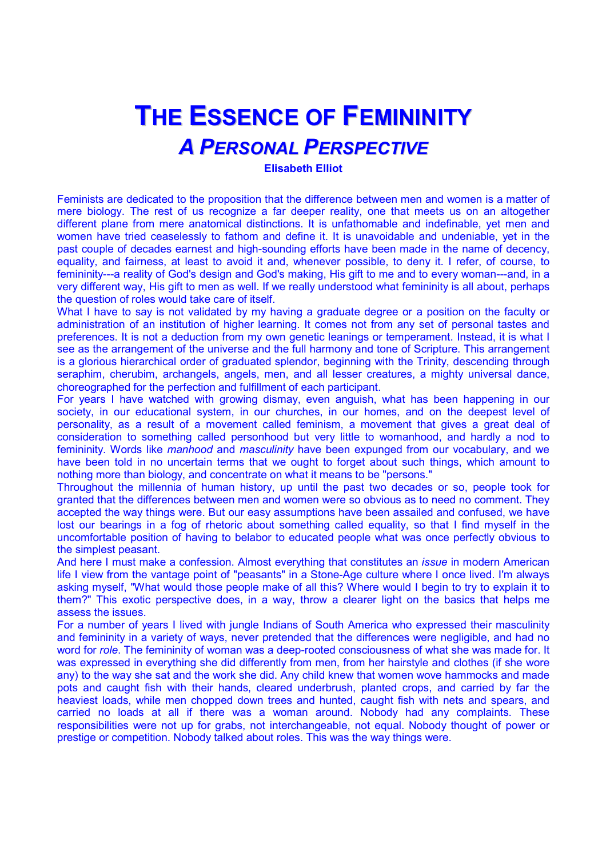# **THE ESSENCE OF FEMININITY** *A PERSONAL PERSPECTIVE*

**Elisabeth Elliot** 

Feminists are dedicated to the proposition that the difference between men and women is a matter of mere biology. The rest of us recognize a far deeper reality, one that meets us on an altogether different plane from mere anatomical distinctions. It is unfathomable and indefinable, yet men and women have tried ceaselessly to fathom and define it. It is unavoidable and undeniable, yet in the past couple of decades earnest and high-sounding efforts have been made in the name of decency, equality, and fairness, at least to avoid it and, whenever possible, to deny it. I refer, of course, to femininity---a reality of God's design and God's making, His gift to me and to every woman---and, in a very different way, His gift to men as well. If we really understood what femininity is all about, perhaps the question of roles would take care of itself.

What I have to say is not validated by my having a graduate degree or a position on the faculty or administration of an institution of higher learning. It comes not from any set of personal tastes and preferences. It is not a deduction from my own genetic leanings or temperament. Instead, it is what I see as the arrangement of the universe and the full harmony and tone of Scripture. This arrangement is a glorious hierarchical order of graduated splendor, beginning with the Trinity, descending through seraphim, cherubim, archangels, angels, men, and all lesser creatures, a mighty universal dance, choreographed for the perfection and fulfillment of each participant.

For years I have watched with growing dismay, even anguish, what has been happening in our society, in our educational system, in our churches, in our homes, and on the deepest level of personality, as a result of a movement called feminism, a movement that gives a great deal of consideration to something called personhood but very little to womanhood, and hardly a nod to femininity. Words like *manhood* and *masculinity* have been expunged from our vocabulary, and we have been told in no uncertain terms that we ought to forget about such things, which amount to nothing more than biology, and concentrate on what it means to be "persons."

Throughout the millennia of human history, up until the past two decades or so, people took for granted that the differences between men and women were so obvious as to need no comment. They accepted the way things were. But our easy assumptions have been assailed and confused, we have lost our bearings in a fog of rhetoric about something called equality, so that I find myself in the uncomfortable position of having to belabor to educated people what was once perfectly obvious to the simplest peasant.

And here I must make a confession. Almost everything that constitutes an *issue* in modern American life I view from the vantage point of "peasants" in a Stone-Age culture where I once lived. I'm always asking myself, "What would those people make of all this? Where would I begin to try to explain it to them?" This exotic perspective does, in a way, throw a clearer light on the basics that helps me assess the issues.

For a number of years I lived with jungle Indians of South America who expressed their masculinity and femininity in a variety of ways, never pretended that the differences were negligible, and had no word for *role*. The femininity of woman was a deep-rooted consciousness of what she was made for. It was expressed in everything she did differently from men, from her hairstyle and clothes (if she wore any) to the way she sat and the work she did. Any child knew that women wove hammocks and made pots and caught fish with their hands, cleared underbrush, planted crops, and carried by far the heaviest loads, while men chopped down trees and hunted, caught fish with nets and spears, and carried no loads at all if there was a woman around. Nobody had any complaints. These responsibilities were not up for grabs, not interchangeable, not equal. Nobody thought of power or prestige or competition. Nobody talked about roles. This was the way things were.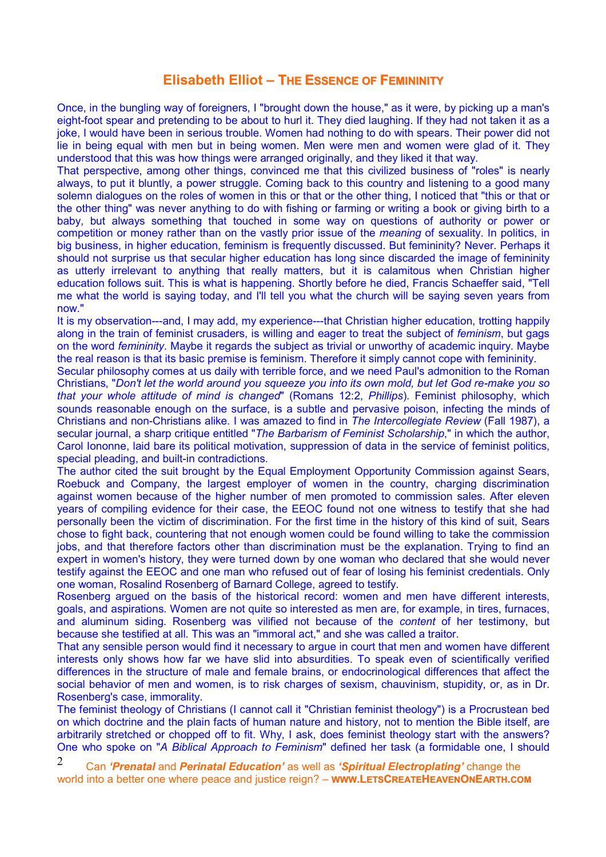Once, in the bungling way of foreigners. I "brought down the house," as it were, by picking up a man's eight-foot spear and pretending to be about to hurl it. They died laughing. If they had not taken it as a joke, I would have been in serious trouble. Women had nothing to do with spears. Their power did not lie in being equal with men but in being women. Men were men and women were glad of it. They understood that this was how things were arranged originally, and they liked it that way.

That perspective, among other things, convinced me that this civilized business of "roles" is nearly always, to put it bluntly, a power struggle. Coming back to this country and listening to a good many solemn dialogues on the roles of women in this or that or the other thing, I noticed that "this or that or the other thing" was never anything to do with fishing or farming or writing a book or giving birth to a baby, but always something that touched in some way on questions of authority or power or competition or money rather than on the vastly prior issue of the *meaning* of sexuality. In politics, in big business, in higher education, feminism is frequently discussed. But femininity? Never. Perhaps it should not surprise us that secular higher education has long since discarded the image of femininity as utterly irrelevant to anything that really matters, but it is calamitous when Christian higher education follows suit. This is what is happening. Shortly before he died, Francis Schaeffer said, "Tell me what the world is saying today, and I'll tell you what the church will be saying seven years from now."

It is my observation---and, I may add, my experience---that Christian higher education, trotting happily along in the train of feminist crusaders, is willing and eager to treat the subject of *feminism*, but gags on the word *femininity*. Maybe it regards the subject as trivial or unworthy of academic inquiry. Maybe the real reason is that its basic premise is feminism. Therefore it simply cannot cope with femininity.

Secular philosophy comes at us daily with terrible force, and we need Paul's admonition to the Roman Christians, "*Don't let the world around you squeeze you into its own mold, but let God re-make you so that your whole attitude of mind is changed*" (Romans 12:2, *Phillips*). Feminist philosophy, which sounds reasonable enough on the surface, is a subtle and pervasive poison, infecting the minds of Christians and non-Christians alike. I was amazed to find in *The Intercollegiate Review* (Fall 1987), a secular journal, a sharp critique entitled "*The Barbarism of Feminist Scholarship*," in which the author, Carol Iononne, laid bare its political motivation, suppression of data in the service of feminist politics, special pleading, and built-in contradictions.

The author cited the suit brought by the Equal Employment Opportunity Commission against Sears, Roebuck and Company, the largest employer of women in the country, charging discrimination against women because of the higher number of men promoted to commission sales. After eleven years of compiling evidence for their case, the EEOC found not one witness to testify that she had personally been the victim of discrimination. For the first time in the history of this kind of suit, Sears chose to fight back, countering that not enough women could be found willing to take the commission jobs, and that therefore factors other than discrimination must be the explanation. Trying to find an expert in women's history, they were turned down by one woman who declared that she would never testify against the EEOC and one man who refused out of fear of losing his feminist credentials. Only one woman, Rosalind Rosenberg of Barnard College, agreed to testify.

Rosenberg argued on the basis of the historical record: women and men have different interests, goals, and aspirations. Women are not quite so interested as men are, for example, in tires, furnaces, and aluminum siding. Rosenberg was vilified not because of the *content* of her testimony, but because she testified at all. This was an "immoral act," and she was called a traitor.

That any sensible person would find it necessary to argue in court that men and women have different interests only shows how far we have slid into absurdities. To speak even of scientifically verified differences in the structure of male and female brains, or endocrinological differences that affect the social behavior of men and women, is to risk charges of sexism, chauvinism, stupidity, or, as in Dr. Rosenberg's case, immorality.

The feminist theology of Christians (I cannot call it "Christian feminist theology") is a Procrustean bed on which doctrine and the plain facts of human nature and history, not to mention the Bible itself, are arbitrarily stretched or chopped off to fit. Why, I ask, does feminist theology start with the answers? One who spoke on "*A Biblical Approach to Feminism*" defined her task (a formidable one, I should

Can *'Prenatal* and *Perinatal Education'* as well as *'Spiritual Electroplating'* change the world into a better one where peace and justice reign? – **WWW.LETSCREATEHEAVENONEARTH.COM** 2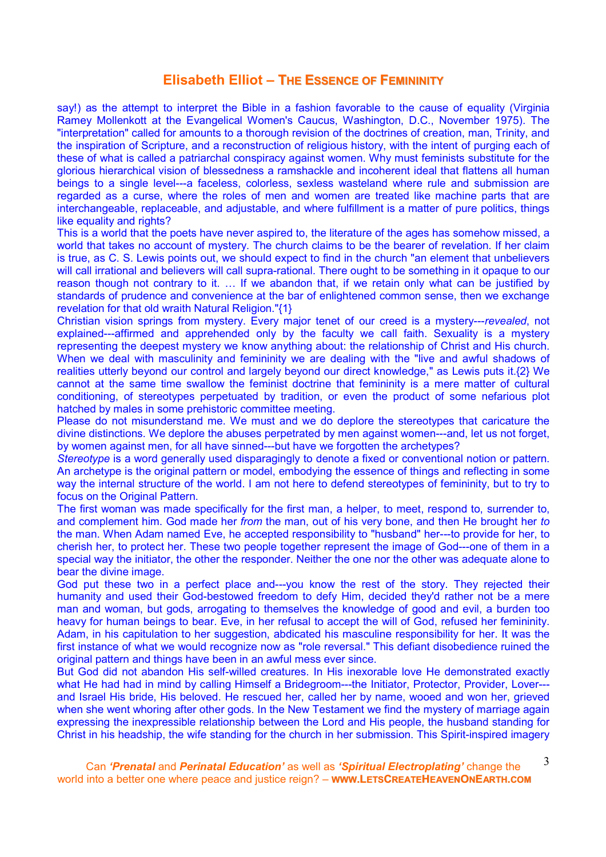say!) as the attempt to interpret the Bible in a fashion favorable to the cause of equality (Virginia Ramey Mollenkott at the Evangelical Women's Caucus, Washington, D.C., November 1975). The "interpretation" called for amounts to a thorough revision of the doctrines of creation, man, Trinity, and the inspiration of Scripture, and a reconstruction of religious history, with the intent of purging each of these of what is called a patriarchal conspiracy against women. Why must feminists substitute for the glorious hierarchical vision of blessedness a ramshackle and incoherent ideal that flattens all human beings to a single level---a faceless, colorless, sexless wasteland where rule and submission are regarded as a curse, where the roles of men and women are treated like machine parts that are interchangeable, replaceable, and adjustable, and where fulfillment is a matter of pure politics, things like equality and rights?

This is a world that the poets have never aspired to, the literature of the ages has somehow missed, a world that takes no account of mystery. The church claims to be the bearer of revelation. If her claim is true, as C. S. Lewis points out, we should expect to find in the church "an element that unbelievers will call irrational and believers will call supra-rational. There ought to be something in it opaque to our reason though not contrary to it. … If we abandon that, if we retain only what can be justified by standards of prudence and convenience at the bar of enlightened common sense, then we exchange revelation for that old wraith Natural Religion."{1}

Christian vision springs from mystery. Every major tenet of our creed is a mystery---*revealed*, not explained---affirmed and apprehended only by the faculty we call faith. Sexuality is a mystery representing the deepest mystery we know anything about: the relationship of Christ and His church. When we deal with masculinity and femininity we are dealing with the "live and awful shadows of realities utterly beyond our control and largely beyond our direct knowledge," as Lewis puts it.{2} We cannot at the same time swallow the feminist doctrine that femininity is a mere matter of cultural conditioning, of stereotypes perpetuated by tradition, or even the product of some nefarious plot hatched by males in some prehistoric committee meeting.

Please do not misunderstand me. We must and we do deplore the stereotypes that caricature the divine distinctions. We deplore the abuses perpetrated by men against women---and, let us not forget, by women against men, for all have sinned---but have we forgotten the archetypes?

*Stereotype* is a word generally used disparagingly to denote a fixed or conventional notion or pattern. An archetype is the original pattern or model, embodying the essence of things and reflecting in some way the internal structure of the world. I am not here to defend stereotypes of femininity, but to try to focus on the Original Pattern.

The first woman was made specifically for the first man, a helper, to meet, respond to, surrender to, and complement him. God made her *from* the man, out of his very bone, and then He brought her *to* the man. When Adam named Eve, he accepted responsibility to "husband" her---to provide for her, to cherish her, to protect her. These two people together represent the image of God---one of them in a special way the initiator, the other the responder. Neither the one nor the other was adequate alone to bear the divine image.

God put these two in a perfect place and---you know the rest of the story. They rejected their humanity and used their God-bestowed freedom to defy Him, decided they'd rather not be a mere man and woman, but gods, arrogating to themselves the knowledge of good and evil, a burden too heavy for human beings to bear. Eve, in her refusal to accept the will of God, refused her femininity. Adam, in his capitulation to her suggestion, abdicated his masculine responsibility for her. It was the first instance of what we would recognize now as "role reversal." This defiant disobedience ruined the original pattern and things have been in an awful mess ever since.

But God did not abandon His self-willed creatures. In His inexorable love He demonstrated exactly what He had had in mind by calling Himself a Bridegroom---the Initiator, Protector, Provider, Lover--and Israel His bride, His beloved. He rescued her, called her by name, wooed and won her, grieved when she went whoring after other gods. In the New Testament we find the mystery of marriage again expressing the inexpressible relationship between the Lord and His people, the husband standing for Christ in his headship, the wife standing for the church in her submission. This Spirit-inspired imagery

Can *'Prenatal* and *Perinatal Education'* as well as *'Spiritual Electroplating'* change the world into a better one where peace and justice reign? – **WWW.LETSCREATEHEAVENONEARTH.COM** 3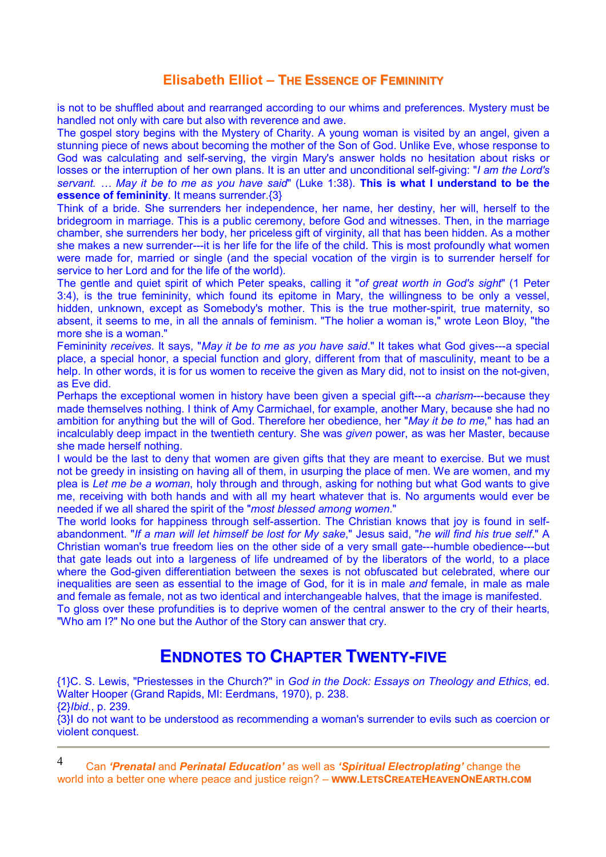is not to be shuffled about and rearranged according to our whims and preferences. Mystery must be handled not only with care but also with reverence and awe.

The gospel story begins with the Mystery of Charity. A young woman is visited by an angel, given a stunning piece of news about becoming the mother of the Son of God. Unlike Eve, whose response to God was calculating and self-serving, the virgin Mary's answer holds no hesitation about risks or losses or the interruption of her own plans. It is an utter and unconditional self-giving: "*I am the Lord's servant. … May it be to me as you have said*" (Luke 1:38). **This is what I understand to be the essence of femininity**. It means surrender.{3}

Think of a bride. She surrenders her independence, her name, her destiny, her will, herself to the bridegroom in marriage. This is a public ceremony, before God and witnesses. Then, in the marriage chamber, she surrenders her body, her priceless gift of virginity, all that has been hidden. As a mother she makes a new surrender---it is her life for the life of the child. This is most profoundly what women were made for, married or single (and the special vocation of the virgin is to surrender herself for service to her Lord and for the life of the world).

The gentle and quiet spirit of which Peter speaks, calling it "*of great worth in God's sight*" (1 Peter 3:4), is the true femininity, which found its epitome in Mary, the willingness to be only a vessel, hidden, unknown, except as Somebody's mother. This is the true mother-spirit, true maternity, so absent, it seems to me, in all the annals of feminism. "The holier a woman is," wrote Leon Bloy, "the more she is a woman."

Femininity *receives*. It says, "*May it be to me as you have said*." It takes what God gives---a special place, a special honor, a special function and glory, different from that of masculinity, meant to be a help. In other words, it is for us women to receive the given as Mary did, not to insist on the not-given, as Eve did.

Perhaps the exceptional women in history have been given a special gift---a *charism*---because they made themselves nothing. I think of Amy Carmichael, for example, another Mary, because she had no ambition for anything but the will of God. Therefore her obedience, her "*May it be to me*," has had an incalculably deep impact in the twentieth century. She was *given* power, as was her Master, because she made herself nothing.

I would be the last to deny that women are given gifts that they are meant to exercise. But we must not be greedy in insisting on having all of them, in usurping the place of men. We are women, and my plea is *Let me be a woman*, holy through and through, asking for nothing but what God wants to give me, receiving with both hands and with all my heart whatever that is. No arguments would ever be needed if we all shared the spirit of the "*most blessed among women.*"

The world looks for happiness through self-assertion. The Christian knows that joy is found in selfabandonment. "*If a man will let himself be lost for My sake*," Jesus said, "*he will find his true self*." A Christian woman's true freedom lies on the other side of a very small gate---humble obedience---but that gate leads out into a largeness of life undreamed of by the liberators of the world, to a place where the God-given differentiation between the sexes is not obfuscated but celebrated, where our inequalities are seen as essential to the image of God, for it is in male *and* female, in male as male and female as female, not as two identical and interchangeable halves, that the image is manifested. To gloss over these profundities is to deprive women of the central answer to the cry of their hearts, "Who am I?" No one but the Author of the Story can answer that cry.

# **ENDNOTES TO CHAPTER TWENTY-FIVE**

{1}C. S. Lewis, "Priestesses in the Church?" in *God in the Dock: Essays on Theology and Ethics*, ed. Walter Hooper (Grand Rapids, MI: Eerdmans, 1970), p. 238.

{2}*Ibid*., p. 239.

{3}I do not want to be understood as recommending a woman's surrender to evils such as coercion or violent conquest.

Can *'Prenatal* and *Perinatal Education'* as well as *'Spiritual Electroplating'* change the world into a better one where peace and justice reign? – **WWW.LETSCREATEHEAVENONEARTH.COM** 4